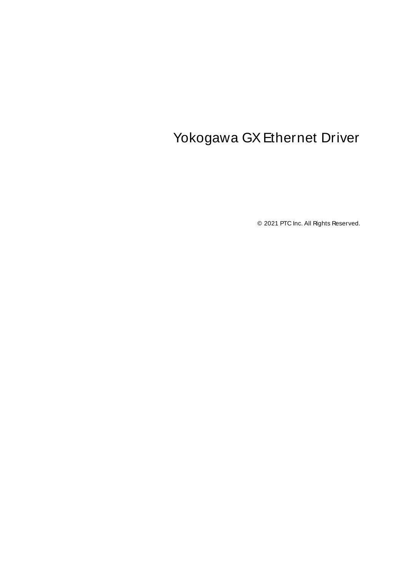# <span id="page-0-0"></span>Yokogawa GX Ethernet Driver

© 2021 PTC Inc. All Rights Reserved.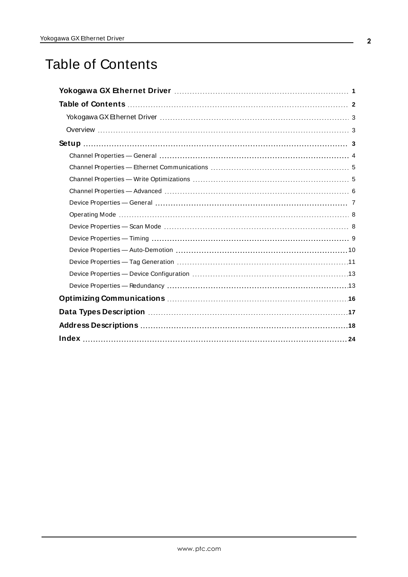# <span id="page-1-0"></span>Table of Contents

| Device Properties — General memorial contracts and the contracts of the Contracts of Terminan and T |
|-----------------------------------------------------------------------------------------------------|
|                                                                                                     |
|                                                                                                     |
|                                                                                                     |
|                                                                                                     |
|                                                                                                     |
|                                                                                                     |
|                                                                                                     |
|                                                                                                     |
|                                                                                                     |
|                                                                                                     |
|                                                                                                     |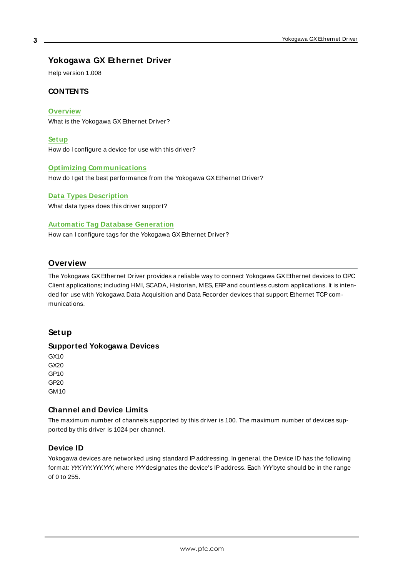## <span id="page-2-0"></span>**Yokogawa GX Ethernet Driver**

Help version 1.008

### **CONTENTS**

**[Overview](#page-2-1)**

What is the Yokogawa GX Ethernet Driver?

**[Setup](#page-2-2)**

How do I configure a device for use with this driver?

#### **Optimizing [Communications](#page-15-0)**

How do I get the best performance from the Yokogawa GX Ethernet Driver?

#### **Data Types [Description](#page-16-0)**

What data types does this driver support?

#### **Automatic Tag Database [Generation](#page-10-0)**

How can I configure tags for the Yokogawa GX Ethernet Driver?

#### <span id="page-2-1"></span>**Overview**

The Yokogawa GX Ethernet Driver provides a reliable way to connect Yokogawa GX Ethernet devices to OPC Client applications; including HMI, SCADA, Historian, MES, ERPand countless custom applications. It is intended for use with Yokogawa Data Acquisition and Data Recorder devices that support Ethernet TCP communications.

#### <span id="page-2-2"></span>**Setup**

#### **Supported Yokogawa Devices**

GX10 GX20 GP10 GP20 GM10

#### **Channel and Device Limits**

The maximum number of channels supported by this driver is 100. The maximum number of devices supported by this driver is 1024 per channel.

#### <span id="page-2-3"></span>**Device ID**

Yokogawa devices are networked using standard IPaddressing. In general, the Device ID has the following format: YYY.YYY.YYY.YYY, where YYYdesignates the device's IPaddress. Each YYYbyte should be in the range of 0 to 255.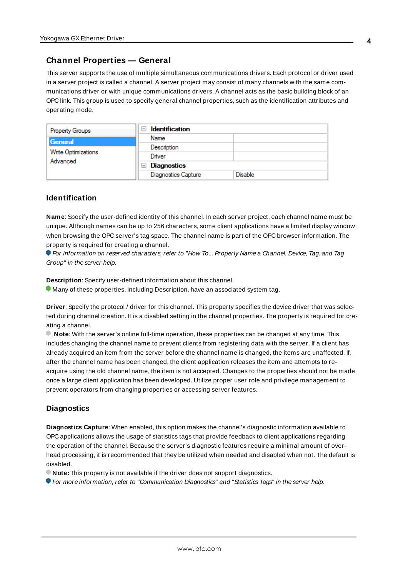### <span id="page-3-0"></span>**Channel Properties — General**

This server supports the use of multiple simultaneous communications drivers. Each protocol or driver used in a server project is called a channel. A server project may consist of many channels with the same communications driver or with unique communications drivers. A channel acts as the basic building block of an OPC link. This group is used to specify general channel properties, such as the identification attributes and operating mode.

| <b>Property Groups</b>          | <b>Identification</b><br>$\overline{ }$ |                |
|---------------------------------|-----------------------------------------|----------------|
| General                         | Name                                    |                |
|                                 | Description                             |                |
| Write Optimizations<br>Advanced | Driver                                  |                |
|                                 | $\Box$ Diagnostics                      |                |
|                                 | <b>Diagnostics Capture</b>              | <b>Disable</b> |

#### **Identification**

**Name**: Specify the user-defined identity of this channel. In each server project, each channel name must be unique. Although names can be up to 256 characters, some client applications have a limited display window when browsing the OPC server's tag space. The channel name is part of the OPC browser information. The property is required for creating a channel.

For information on reserved characters, refer to "How To... Properly Name a Channel, Device, Tag, and Tag Group" in the server help.

**Description**: Specify user-defined information about this channel.

Many of these properties, including Description, have an associated system tag.

**Driver**: Specify the protocol / driver for this channel. This property specifies the device driver that was selected during channel creation. It is a disabled setting in the channel properties. The property is required for creating a channel.

**Note**: With the server's online full-time operation, these properties can be changed at any time. This includes changing the channel name to prevent clients from registering data with the server. If a client has already acquired an item from the server before the channel name is changed, the items are unaffected. If, after the channel name has been changed, the client application releases the item and attempts to reacquire using the old channel name, the item is not accepted. Changes to the properties should not be made once a large client application has been developed. Utilize proper user role and privilege management to prevent operators from changing properties or accessing server features.

#### **Diagnostics**

**Diagnostics Capture**: When enabled, this option makes the channel's diagnostic information available to OPC applications allows the usage of statistics tags that provide feedback to client applications regarding the operation of the channel. Because the server's diagnostic features require a minimal amount of overhead processing, it is recommended that they be utilized when needed and disabled when not. The default is disabled.

**Note:** This property is not available if the driver does not support diagnostics.

**• For more information, refer to "Communication Diagnostics" and "Statistics Tags" in the server help.**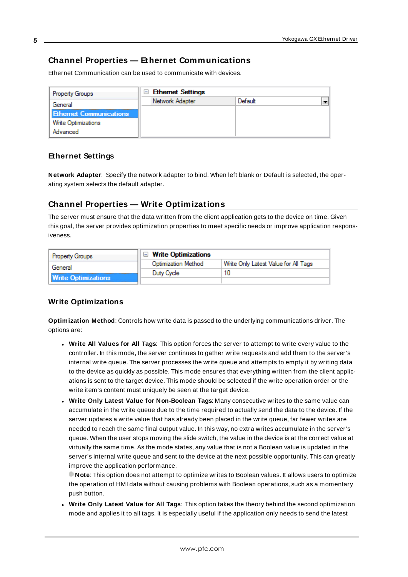## <span id="page-4-0"></span>**Channel Properties — Ethernet Communications**

Ethernet Communication can be used to communicate with devices.

| <b>Property Groups</b>         | <b>Ethemet Settings</b> |         |                          |
|--------------------------------|-------------------------|---------|--------------------------|
| General                        | Network Adapter         | Default | $\overline{\phantom{0}}$ |
| <b>Ethernet Communications</b> |                         |         |                          |
| <b>Write Optimizations</b>     |                         |         |                          |
| Advanced                       |                         |         |                          |

#### **Ethernet Settings**

**Network Adapter**: Specify the network adapter to bind. When left blank or Default is selected, the operating system selects the default adapter.

### <span id="page-4-1"></span>**Channel Properties — Write Optimizations**

The server must ensure that the data written from the client application gets to the device on time. Given this goal, the server provides optimization properties to meet specific needs or improve application responsiveness.

| <b>Property Groups</b>     | $\Box$ Write Optimizations |                                      |
|----------------------------|----------------------------|--------------------------------------|
| General                    | <b>Optimization Method</b> | Write Only Latest Value for All Tags |
|                            | Duty Cycle                 |                                      |
| <b>Write Optimizations</b> |                            |                                      |

#### **Write Optimizations**

**Optimization Method**: Controls how write data is passed to the underlying communications driver. The options are:

- <sup>l</sup> **Write All Values for All Tags**: This option forces the server to attempt to write every value to the controller. In this mode, the server continues to gather write requests and add them to the server's internal write queue. The server processes the write queue and attempts to empty it by writing data to the device as quickly as possible. This mode ensures that everything written from the client applications is sent to the target device. This mode should be selected if the write operation order or the write item's content must uniquely be seen at the target device.
- <sup>l</sup> **Write Only Latest Value for Non-Boolean Tags**: Many consecutive writes to the same value can accumulate in the write queue due to the time required to actually send the data to the device. If the server updates a write value that has already been placed in the write queue, far fewer writes are needed to reach the same final output value. In this way, no extra writes accumulate in the server's queue. When the user stops moving the slide switch, the value in the device is at the correct value at virtually the same time. As the mode states, any value that is not a Boolean value is updated in the server's internal write queue and sent to the device at the next possible opportunity. This can greatly improve the application performance.

**Note**: This option does not attempt to optimize writes to Boolean values. It allows users to optimize the operation of HMI data without causing problems with Boolean operations, such as a momentary push button.

<sup>l</sup> **Write Only Latest Value for All Tags**: This option takes the theory behind the second optimization mode and applies it to all tags. It is especially useful if the application only needs to send the latest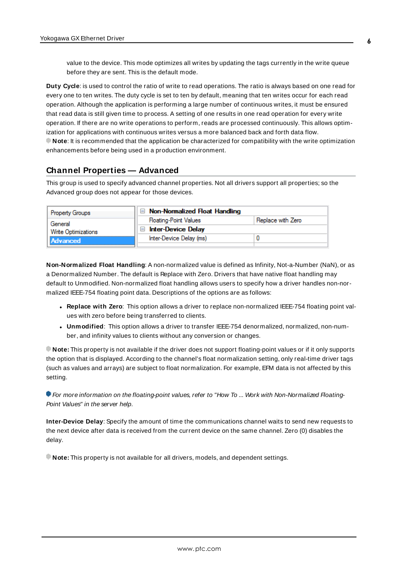value to the device. This mode optimizes all writes by updating the tags currently in the write queue before they are sent. This is the default mode.

**Duty Cycle**: is used to control the ratio of write to read operations. The ratio is always based on one read for every one to ten writes. The duty cycle is set to ten by default, meaning that ten writes occur for each read operation. Although the application is performing a large number of continuous writes, it must be ensured that read data is still given time to process. A setting of one results in one read operation for every write operation. If there are no write operations to perform, reads are processed continuously. This allows optimization for applications with continuous writes versus a more balanced back and forth data flow. **Note**: It is recommended that the application be characterized for compatibility with the write optimization enhancements before being used in a production environment.

#### <span id="page-5-0"></span>**Channel Properties — Advanced**

This group is used to specify advanced channel properties. Not all drivers support all properties; so the Advanced group does not appear for those devices.

| <b>Property Groups</b>     | $\Box$ Non-Normalized Float Handling |                   |
|----------------------------|--------------------------------------|-------------------|
| General                    | <b>Floating-Point Values</b>         | Replace with Zero |
| <b>Write Optimizations</b> | <b>Inter-Device Delay</b>            |                   |
| <b>Advanced</b>            | Inter-Device Delay (ms)              |                   |
|                            |                                      |                   |

**Non-Normalized Float Handling**: A non-normalized value is defined as Infinity, Not-a-Number (NaN), or as a Denormalized Number. The default is Replace with Zero. Drivers that have native float handling may default to Unmodified. Non-normalized float handling allows users to specify how a driver handles non-normalized IEEE-754 floating point data. Descriptions of the options are as follows:

- <sup>l</sup> **Replace with Zero**: This option allows a driver to replace non-normalized IEEE-754 floating point values with zero before being transferred to clients.
- <sup>l</sup> **Unmodified**: This option allows a driver to transfer IEEE-754 denormalized, normalized, non-number, and infinity values to clients without any conversion or changes.

**Note:** This property is not available if the driver does not support floating-point values or if it only supports the option that is displayed. According to the channel's float normalization setting, only real-time driver tags (such as values and arrays) are subject to float normalization. For example, EFM data is not affected by this setting.

For more information on the floating-point values, refer to "How To ... Work with Non-Normalized Floating-Point Values" in the server help.

**Inter-Device Delay**: Specify the amount of time the communications channel waits to send new requests to the next device after data is received from the current device on the same channel. Zero (0) disables the delay.

**Note:** This property is not available for all drivers, models, and dependent settings.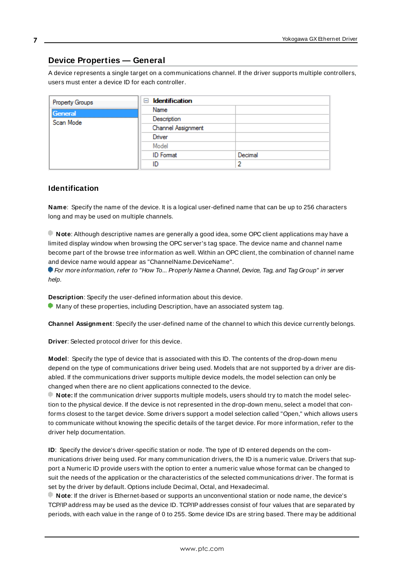## <span id="page-6-0"></span>**Device Properties — General**

A device represents a single target on a communications channel. If the driver supports multiple controllers, users must enter a device ID for each controller.

| Property Groups      | <b>Identification</b><br>$\equiv$ |         |
|----------------------|-----------------------------------|---------|
| General<br>Scan Mode | Name                              |         |
|                      | Description                       |         |
|                      | Channel Assignment                |         |
|                      | Driver                            |         |
|                      | Model                             |         |
|                      | <b>ID</b> Format                  | Decimal |
|                      | ID                                | っ       |

#### <span id="page-6-5"></span>**Identification**

**Name**: Specify the name of the device. It is a logical user-defined name that can be up to 256 characters long and may be used on multiple channels.

**Note**: Although descriptive names are generally a good idea, some OPC client applications may have a limited display window when browsing the OPC server's tag space. The device name and channel name become part of the browse tree information as well. Within an OPC client, the combination of channel name and device name would appear as "ChannelName.DeviceName".

For more information, refer to "How To... Properly Name a Channel, Device, Tag, and Tag Group" in server help.

**Description**: Specify the user-defined information about this device.

<span id="page-6-1"></span>**Many of these properties, including Description, have an associated system tag.** 

<span id="page-6-2"></span>**Channel Assignment**: Specify the user-defined name of the channel to which this device currently belongs.

<span id="page-6-4"></span>**Driver**: Selected protocol driver for this device.

**Model**: Specify the type of device that is associated with this ID. The contents of the drop-down menu depend on the type of communications driver being used. Models that are not supported by a driver are disabled. If the communications driver supports multiple device models, the model selection can only be changed when there are no client applications connected to the device.

**Note:** If the communication driver supports multiple models, users should try to match the model selection to the physical device. If the device is not represented in the drop-down menu, select a model that conforms closest to the target device. Some drivers support a model selection called "Open," which allows users to communicate without knowing the specific details of the target device. For more information, refer to the driver help documentation.

<span id="page-6-3"></span>**ID**: Specify the device's driver-specific station or node. The type of ID entered depends on the communications driver being used. For many communication drivers, the ID is a numeric value. Drivers that support a Numeric ID provide users with the option to enter a numeric value whose format can be changed to suit the needs of the application or the characteristics of the selected communications driver. The format is set by the driver by default. Options include Decimal, Octal, and Hexadecimal.

**Note**: If the driver is Ethernet-based or supports an unconventional station or node name, the device's TCP/IPaddress may be used as the device ID. TCP/IPaddresses consist of four values that are separated by periods, with each value in the range of 0 to 255. Some device IDs are string based. There may be additional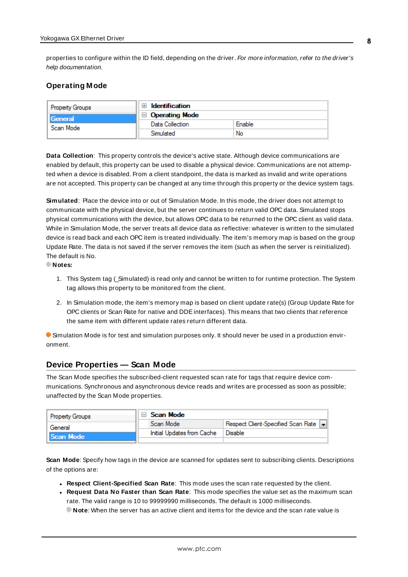properties to configure within the ID field, depending on the driver. For more information, refer to the driver's help documentation.

#### <span id="page-7-0"></span>**Operating Mode**

| Property Groups | <b>Identification</b> |        |
|-----------------|-----------------------|--------|
| General         | <b>Operating Mode</b> |        |
| Scan Mode       | Data Collection       | Enable |
|                 | Simulated             | No     |

<span id="page-7-2"></span>**Data Collection**: This property controls the device's active state. Although device communications are enabled by default, this property can be used to disable a physical device. Communications are not attempted when a device is disabled. From a client standpoint, the data is marked as invalid and write operations are not accepted. This property can be changed at any time through this property or the device system tags.

<span id="page-7-4"></span>**Simulated**: Place the device into or out of Simulation Mode. In this mode, the driver does not attempt to communicate with the physical device, but the server continues to return valid OPC data. Simulated stops physical communications with the device, but allows OPC data to be returned to the OPC client as valid data. While in Simulation Mode, the server treats all device data as reflective: whatever is written to the simulated device is read back and each OPC item is treated individually. The item's memory map is based on the group Update Rate. The data is not saved if the server removes the item (such as when the server is reinitialized). The default is No.

**Notes:**

- 1. This System tag (Simulated) is read only and cannot be written to for runtime protection. The System tag allows this property to be monitored from the client.
- 2. In Simulation mode, the item's memory map is based on client update rate(s) (Group Update Rate for OPC clients or Scan Rate for native and DDEinterfaces). This means that two clients that reference the same item with different update rates return different data.

 Simulation Mode is for test and simulation purposes only. It should never be used in a production environment.

### <span id="page-7-1"></span>**Device Properties — Scan Mode**

The Scan Mode specifies the subscribed-client requested scan rate for tags that require device communications. Synchronous and asynchronous device reads and writes are processed as soon as possible; unaffected by the Scan Mode properties.

| <b>Property Groups</b> | $\Box$ Scan Mode           |                                    |
|------------------------|----------------------------|------------------------------------|
| General                | Scan Mode                  | Respect Client-Specified Scan Rate |
| Scan Mode              | Initial Updates from Cache | Disable                            |
|                        |                            |                                    |

<span id="page-7-3"></span>**Scan Mode**: Specify how tags in the device are scanned for updates sent to subscribing clients. Descriptions of the options are:

- <sup>l</sup> **Respect Client-Specified Scan Rate**: This mode uses the scan rate requested by the client.
- <sup>l</sup> **Request Data No Faster than Scan Rate**: This mode specifies the value set as the maximum scan rate. The valid range is 10 to 99999990 milliseconds. The default is 1000 milliseconds.

**Note**: When the server has an active client and items for the device and the scan rate value is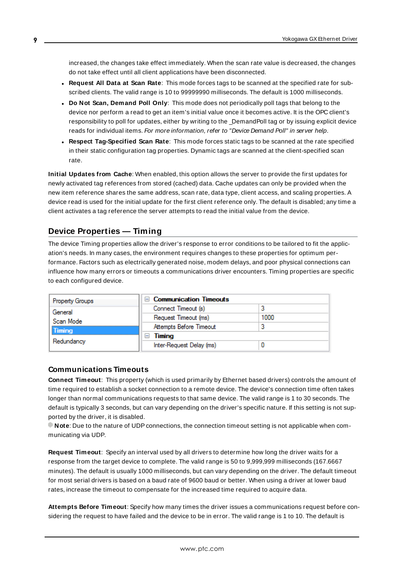increased, the changes take effect immediately. When the scan rate value is decreased, the changes do not take effect until all client applications have been disconnected.

- <span id="page-8-3"></span><sup>l</sup> **Request All Data at Scan Rate**: This mode forces tags to be scanned at the specified rate for subscribed clients. The valid range is 10 to 99999990 milliseconds. The default is 1000 milliseconds.
- <sup>l</sup> **Do Not Scan, Demand Poll Only**: This mode does not periodically poll tags that belong to the device nor perform a read to get an item's initial value once it becomes active. It is the OPC client's responsibility to poll for updates, either by writing to the \_DemandPoll tag or by issuing explicit device reads for individual items. For more information, refer to "Device Demand Poll" in server help.
- <span id="page-8-6"></span><sup>l</sup> **Respect Tag-Specified Scan Rate**: This mode forces static tags to be scanned at the rate specified in their static configuration tag properties. Dynamic tags are scanned at the client-specified scan rate.

<span id="page-8-4"></span>**Initial Updates from Cache**: When enabled, this option allows the server to provide the first updates for newly activated tag references from stored (cached) data. Cache updates can only be provided when the new item reference shares the same address, scan rate, data type, client access, and scaling properties. A device read is used for the initial update for the first client reference only. The default is disabled; any time a client activates a tag reference the server attempts to read the initial value from the device.

## <span id="page-8-1"></span><span id="page-8-0"></span>**Device Properties — Timing**

The device Timing properties allow the driver's response to error conditions to be tailored to fit the application's needs. In many cases, the environment requires changes to these properties for optimum performance. Factors such as electrically generated noise, modem delays, and poor physical connections can influence how many errors or timeouts a communications driver encounters. Timing properties are specific to each configured device.

| <b>Communication Timeouts</b><br>$\overline{ }$ |      |
|-------------------------------------------------|------|
| Connect Timeout (s)                             |      |
| Request Timeout (ms)                            | 1000 |
| Attempts Before Timeout                         |      |
| Timing<br>$\overline{}$                         |      |
| Inter-Request Delay (ms)                        |      |
|                                                 |      |

#### <span id="page-8-2"></span>**Communications Timeouts**

**Connect Timeout**: This property (which is used primarily by Ethernet based drivers) controls the amount of time required to establish a socket connection to a remote device. The device's connection time often takes longer than normal communications requests to that same device. The valid range is 1 to 30 seconds. The default is typically 3 seconds, but can vary depending on the driver's specific nature. If this setting is not supported by the driver, it is disabled.

**Note:** Due to the nature of UDP connections, the connection timeout setting is not applicable when communicating via UDP.

<span id="page-8-5"></span>**Request Timeout**: Specify an interval used by all drivers to determine how long the driver waits for a response from the target device to complete. The valid range is 50 to 9,999,999 milliseconds (167.6667 minutes). The default is usually 1000 milliseconds, but can vary depending on the driver. The default timeout for most serial drivers is based on a baud rate of 9600 baud or better. When using a driver at lower baud rates, increase the timeout to compensate for the increased time required to acquire data.

**Attempts Before Timeout**: Specify how many times the driver issues a communications request before considering the request to have failed and the device to be in error. The valid range is 1 to 10. The default is

**9**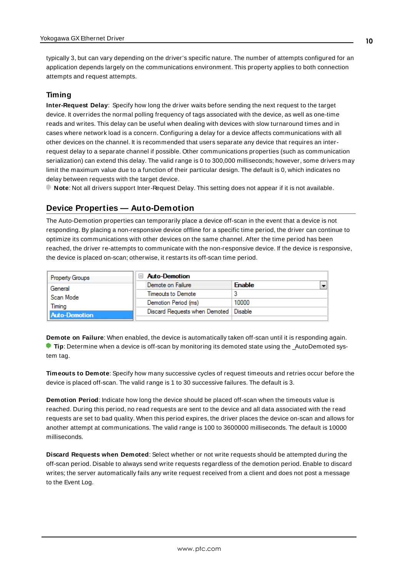<span id="page-9-1"></span>typically 3, but can vary depending on the driver's specific nature. The number of attempts configured for an application depends largely on the communications environment. This property applies to both connection attempts and request attempts.

### <span id="page-9-5"></span>**Timing**

**Inter-Request Delay**: Specify how long the driver waits before sending the next request to the target device. It overrides the normal polling frequency of tags associated with the device, as well as one-time reads and writes. This delay can be useful when dealing with devices with slow turnaround times and in cases where network load is a concern. Configuring a delay for a device affects communications with all other devices on the channel. It is recommended that users separate any device that requires an interrequest delay to a separate channel if possible. Other communications properties (such as communication serialization) can extend this delay. The valid range is 0 to 300,000 milliseconds; however, some drivers may limit the maximum value due to a function of their particular design. The default is 0, which indicates no delay between requests with the target device.

<span id="page-9-0"></span>**Note**: Not all drivers support Inter-Request Delay. This setting does not appear if it is not available.

## **Device Properties — Auto-Demotion**

The Auto-Demotion properties can temporarily place a device off-scan in the event that a device is not responding. By placing a non-responsive device offline for a specific time period, the driver can continue to optimize its communications with other devices on the same channel. After the time period has been reached, the driver re-attempts to communicate with the non-responsive device. If the device is responsive, the device is placed on-scan; otherwise, it restarts its off-scan time period.

| <b>Property Groups</b> | <b>Auto-Demotion</b>                    |               |
|------------------------|-----------------------------------------|---------------|
| General                | Demote on Failure                       | <b>Enable</b> |
| Scan Mode              | Timeouts to Demote                      |               |
| Timina                 | Demotion Period (ms)                    | 10000         |
| <b>Auto-Demotion</b>   | Discard Requests when Demoted   Disable |               |
|                        |                                         |               |

<span id="page-9-2"></span>**Demote on Failure**: When enabled, the device is automatically taken off-scan until it is responding again. **Tip:** Determine when a device is off-scan by monitoring its demoted state using the \_AutoDemoted system tag.

<span id="page-9-6"></span>**Timeouts to Demote**: Specify how many successive cycles of request timeouts and retries occur before the device is placed off-scan. The valid range is 1 to 30 successive failures. The default is 3.

<span id="page-9-3"></span>**Demotion Period**: Indicate how long the device should be placed off-scan when the timeouts value is reached. During this period, no read requests are sent to the device and all data associated with the read requests are set to bad quality. When this period expires, the driver places the device on-scan and allows for another attempt at communications. The valid range is 100 to 3600000 milliseconds. The default is 10000 milliseconds.

<span id="page-9-4"></span>**Discard Requests when Demoted**: Select whether or not write requests should be attempted during the off-scan period. Disable to always send write requests regardless of the demotion period. Enable to discard writes; the server automatically fails any write request received from a client and does not post a message to the Event Log.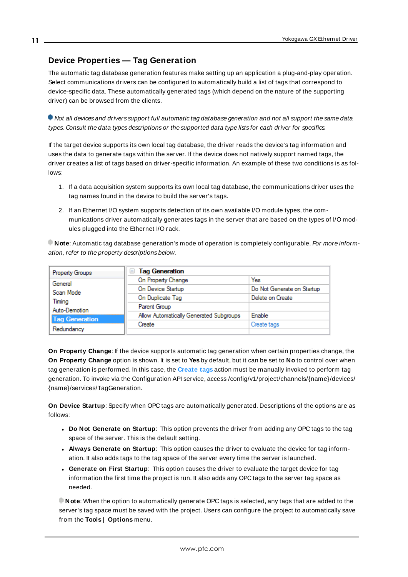## <span id="page-10-0"></span>**Device Properties — Tag Generation**

The automatic tag database generation features make setting up an application a plug-and-play operation. Select communications drivers can be configured to automatically build a list of tags that correspond to device-specific data. These automatically generated tags (which depend on the nature of the supporting driver) can be browsed from the clients.

Not all devices and drivers support full automatic tag database generation and not all support the same data types. Consult the data types descriptions or the supported data type lists for each driver for specifics.

If the target device supports its own local tag database, the driver reads the device's tag information and uses the data to generate tags within the server. If the device does not natively support named tags, the driver creates a list of tags based on driver-specific information. An example of these two conditions is as follows:

- 1. If a data acquisition system supports its own local tag database, the communications driver uses the tag names found in the device to build the server's tags.
- 2. If an Ethernet I/O system supports detection of its own available I/O module types, the communications driver automatically generates tags in the server that are based on the types of I/O modules plugged into the Ethernet I/O rack.

**Note**: Automatic tag database generation's mode of operation is completely configurable. For more information, refer to the property descriptions below.

| Property Groups       | <b>Tag Generation</b><br>н              |                            |
|-----------------------|-----------------------------------------|----------------------------|
| General               | On Property Change                      | Yes                        |
| Scan Mode             | On Device Startup                       | Do Not Generate on Startup |
| Timina                | On Duplicate Tag                        | Delete on Create           |
| Auto-Demotion         | Parent Group                            |                            |
| <b>Tag Generation</b> | Allow Automatically Generated Subgroups | <b>Enable</b>              |
|                       | Create                                  | Create tags                |
| Redundancy            |                                         |                            |

<span id="page-10-3"></span>**On Property Change**: If the device supports automatic tag generation when certain properties change, the **On Property Change** option is shown. It is set to **Yes** by default, but it can be set to **No** to control over when tag generation is performed. In this case, the **Create tags** action must be manually invoked to perform tag generation. To invoke via the Configuration API service, access /config/v1/project/channels/{name}/devices/ {name}/services/TagGeneration.

<span id="page-10-2"></span>**On Device Startup**: Specify when OPC tags are automatically generated. Descriptions of the options are as follows:

- <span id="page-10-1"></span><sup>l</sup> **Do Not Generate on Startup**: This option prevents the driver from adding any OPC tags to the tag space of the server. This is the default setting.
- <sup>l</sup> **Always Generate on Startup**: This option causes the driver to evaluate the device for tag information. It also adds tags to the tag space of the server every time the server is launched.
- <sup>l</sup> **Generate on First Startup**: This option causes the driver to evaluate the target device for tag information the first time the project is run. It also adds any OPC tags to the server tag space as needed.

**Note**: When the option to automatically generate OPC tags is selected, any tags that are added to the server's tag space must be saved with the project. Users can configure the project to automatically save from the **Tools** | **Options** menu.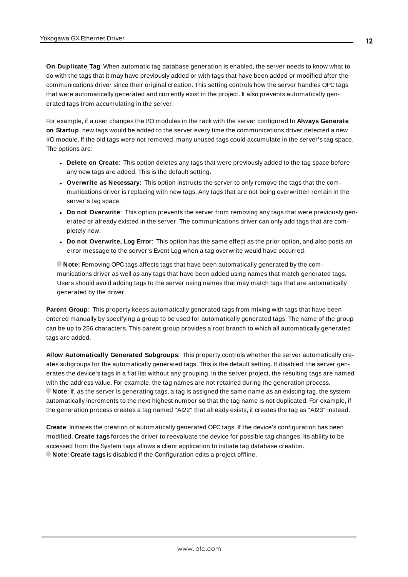<span id="page-11-3"></span>**On Duplicate Tag**: When automatic tag database generation is enabled, the server needs to know what to do with the tags that it may have previously added or with tags that have been added or modified after the communications driver since their original creation. This setting controls how the server handles OPC tags that were automatically generated and currently exist in the project. It also prevents automatically generated tags from accumulating in the server.

For example, if a user changes the I/O modules in the rack with the server configured to **Always Generate on Startup**, new tags would be added to the server every time the communications driver detected a new I/O module. If the old tags were not removed, many unused tags could accumulate in the server's tag space. The options are:

- <span id="page-11-2"></span>**.** Delete on Create: This option deletes any tags that were previously added to the tag space before any new tags are added. This is the default setting.
- <span id="page-11-4"></span><sup>l</sup> **Overwrite as Necessary**: This option instructs the server to only remove the tags that the communications driver is replacing with new tags. Any tags that are not being overwritten remain in the server's tag space.
- **.** Do not Overwrite: This option prevents the server from removing any tags that were previously generated or already existed in the server. The communications driver can only add tags that are completely new.
- <sup>l</sup> **Do not Overwrite, Log Error**: This option has the same effect as the prior option, and also posts an error message to the server's Event Log when a tag overwrite would have occurred.

**Note:** Removing OPC tags affects tags that have been automatically generated by the communications driver as well as any tags that have been added using names that match generated tags. Users should avoid adding tags to the server using names that may match tags that are automatically generated by the driver.

<span id="page-11-5"></span>**Parent Group**: This property keeps automatically generated tags from mixing with tags that have been entered manually by specifying a group to be used for automatically generated tags. The name of the group can be up to 256 characters. This parent group provides a root branch to which all automatically generated tags are added.

<span id="page-11-0"></span>**Allow Automatically Generated Subgroups**: This property controls whether the server automatically creates subgroups for the automatically generated tags. This is the default setting. If disabled, the server generates the device's tags in a flat list without any grouping. In the server project, the resulting tags are named with the address value. For example, the tag names are not retained during the generation process. **Note**: If, as the server is generating tags, a tag is assigned the same name as an existing tag, the system automatically increments to the next highest number so that the tag name is not duplicated. For example, if the generation process creates a tag named "AI22" that already exists, it creates the tag as "AI23" instead.

<span id="page-11-1"></span>**Create**: Initiates the creation of automatically generated OPC tags. If the device's configuration has been modified, **Create tags** forces the driver to reevaluate the device for possible tag changes. Its ability to be accessed from the System tags allows a client application to initiate tag database creation. **Note**: **Create tags** is disabled if the Configuration edits a project offline.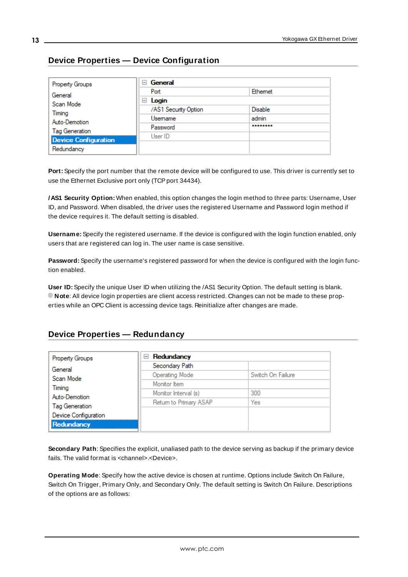## <span id="page-12-0"></span>**Device Properties — Device Configuration**

| <b>Property Groups</b>      | ⊟ General            |                |
|-----------------------------|----------------------|----------------|
| General                     | Port                 | Ethemet        |
| Scan Mode                   | Login<br>ь           |                |
| Timing                      | /AS1 Security Option | <b>Disable</b> |
| Auto-Demotion               | Usemame              | admin          |
| <b>Tag Generation</b>       | Password             | ********       |
| <b>Device Configuration</b> | User ID              |                |
|                             |                      |                |
| Redundancy                  |                      |                |

**Port:** Specify the port number that the remote device will be configured to use. This driver is currently set to use the Ethernet Exclusive port only (TCP port 34434).

**/AS1 Security Option:** When enabled, this option changes the login method to three parts: Username, User ID, and Password. When disabled, the driver uses the registered Username and Password login method if the device requires it. The default setting is disabled.

**Username:** Specify the registered username. If the device is configured with the login function enabled, only users that are registered can log in. The user name is case sensitive.

**Password:** Specify the username's registered password for when the device is configured with the login function enabled.

**User ID:** Specify the unique User ID when utilizing the /AS1 Security Option. The default setting is blank. **Note**: All device login properties are client access restricted. Changes can not be made to these properties while an OPC Client is accessing device tags. Reinitialize after changes are made.

## <span id="page-12-1"></span>**Device Properties — Redundancy**

| Property Groups                    | Redundancy<br>$=$      |                   |
|------------------------------------|------------------------|-------------------|
| General                            | Secondary Path         |                   |
| Scan Mode                          | <b>Operating Mode</b>  | Switch On Failure |
| Timing                             | Monitor Item           |                   |
| Auto-Demotion                      | Monitor Interval (s)   | 300               |
| <b>Tag Generation</b>              | Return to Primary ASAP | Yes               |
|                                    |                        |                   |
| Device Configuration<br>Redundancy |                        |                   |

**Secondary Path**: Specifies the explicit, unaliased path to the device serving as backup if the primary device fails. The valid format is <channel>.<Device>.

**Operating Mode**: Specify how the active device is chosen at runtime. Options include Switch On Failure, Switch On Trigger, Primary Only, and Secondary Only. The default setting is Switch On Failure. Descriptions of the options are as follows: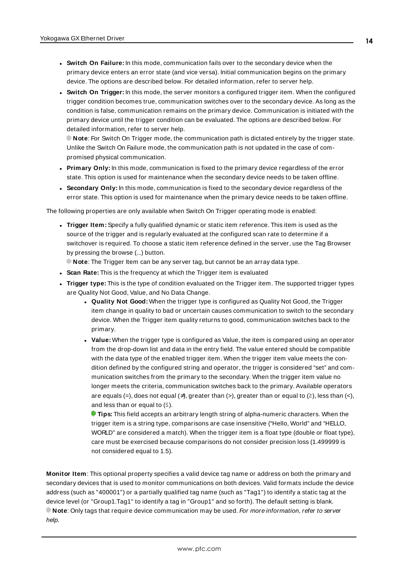- <sup>l</sup> **Switch On Failure:** In this mode, communication fails over to the secondary device when the primary device enters an error state (and vice versa). Initial communication begins on the primary device. The options are described below. For detailed information, refer to server help.
- <sup>l</sup> **Switch On Trigger:** In this mode, the server monitors a configured trigger item. When the configured trigger condition becomes true, communication switches over to the secondary device. As long as the condition is false, communication remains on the primary device. Communication is initiated with the primary device until the trigger condition can be evaluated. The options are described below. For detailed information, refer to server help.

**Note**: For Switch On Trigger mode, the communication path is dictated entirely by the trigger state. Unlike the Switch On Failure mode, the communication path is not updated in the case of compromised physical communication.

- **Primary Only:** In this mode, communication is fixed to the primary device regardless of the error state. This option is used for maintenance when the secondary device needs to be taken offline.
- **.** Secondary Only: In this mode, communication is fixed to the secondary device regardless of the error state. This option is used for maintenance when the primary device needs to be taken offline.

The following properties are only available when Switch On Trigger operating mode is enabled:

**Figger Item:** Specify a fully qualified dynamic or static item reference. This item is used as the source of the trigger and is regularly evaluated at the configured scan rate to determine if a switchover is required. To choose a static item reference defined in the server, use the Tag Browser by pressing the browse (...) button.

**Note**: The Trigger Item can be any server tag, but cannot be an array data type.

- **Scan Rate:** This is the frequency at which the Trigger item is evaluated
- **Trigger type:** This is the type of condition evaluated on the Trigger item. The supported trigger types are Quality Not Good, Value, and No Data Change.
	- **.** Quality Not Good: When the trigger type is configured as Quality Not Good, the Trigger item change in quality to bad or uncertain causes communication to switch to the secondary device. When the Trigger item quality returns to good, communication switches back to the primary.
	- **· Value:** When the trigger type is configured as Value, the item is compared using an operator from the drop-down list and data in the entry field. The value entered should be compatible with the data type of the enabled trigger item. When the trigger item value meets the condition defined by the configured string and operator, the trigger is considered "set" and communication switches from the primary to the secondary. When the trigger item value no longer meets the criteria, communication switches back to the primary. Available operators are equals (=), does not equal ( $\neq$ ), greater than (>), greater than or equal to ( $\geq$ ), less than (<), and less than or equal to  $(≤)$ .

**Tips:** This field accepts an arbitrary length string of alpha-numeric characters. When the trigger item is a string type, comparisons are case insensitive ("Hello, World" and "HELLO, WORLD" are considered a match). When the trigger item is a float type (double or float type), care must be exercised because comparisons do not consider precision loss (1.499999 is not considered equal to 1.5).

**Monitor Item**: This optional property specifies a valid device tag name or address on both the primary and secondary devices that is used to monitor communications on both devices. Valid formats include the device address (such as "400001") or a partially qualified tag name (such as "Tag1") to identify a static tag at the device level (or "Group1.Tag1" to identify a tag in "Group1" and so forth). The default setting is blank. **Note**: Only tags that require device communication may be used. For more information, refer to server help.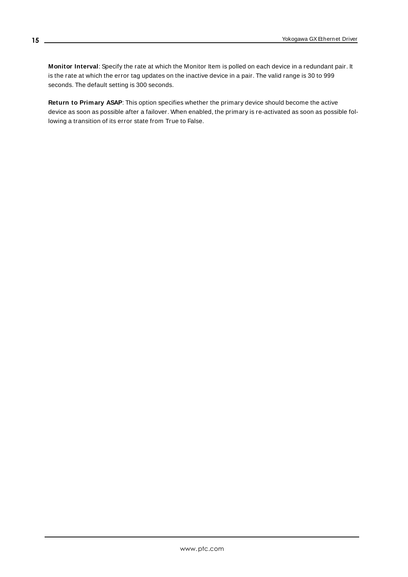**Monitor Interval**: Specify the rate at which the Monitor Item is polled on each device in a redundant pair. It is the rate at which the error tag updates on the inactive device in a pair. The valid range is 30 to 999 seconds. The default setting is 300 seconds.

**Return to Primary ASAP**: This option specifies whether the primary device should become the active device as soon as possible after a failover. When enabled, the primary is re-activated as soon as possible following a transition of its error state from True to False.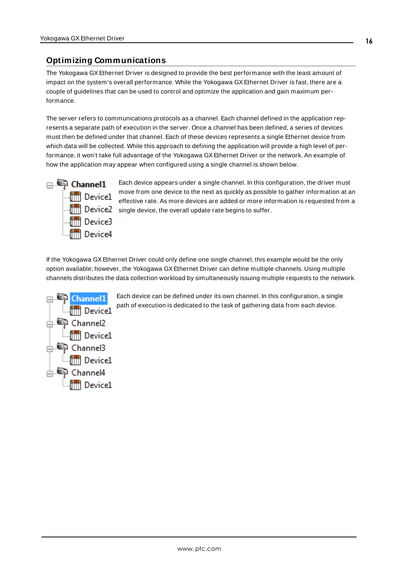## <span id="page-15-0"></span>**Optimizing Communications**

The Yokogawa GXEthernet Driver is designed to provide the best performance with the least amount of impact on the system's overall performance. While the Yokogawa GXEthernet Driver is fast, there are a couple of guidelines that can be used to control and optimize the application and gain maximum performance.

The server refers to communications protocols as a channel. Each channel defined in the application represents a separate path of execution in the server. Once a channel has been defined, a series of devices must then be defined under that channel. Each of these devices represents a single Ethernet device from which data will be collected. While this approach to defining the application will provide a high level of performance, it won't take full advantage of the Yokogawa GX Ethernet Driver or the network. An example of how the application may appear when configured using a single channel is shown below.



Each device appears under a single channel. In this configuration, the driver must move from one device to the next as quickly as possible to gather information at an effective rate. As more devices are added or more information is requested from a **Single device, the overall update rate begins to suffer.** 

If the Yokogawa GXEthernet Driver could only define one single channel, this example would be the only option available; however, the Yokogawa GXEthernet Driver can define multiple channels. Using multiple channels distributes the data collection workload by simultaneously issuing multiple requests to the network.



Each device can be defined under its own channel. In this configuration, a single path of execution is dedicated to the task of gathering data from each device.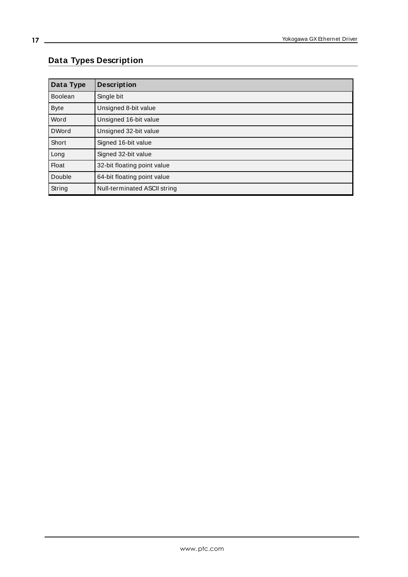## <span id="page-16-0"></span>**Data Types Description**

<span id="page-16-6"></span><span id="page-16-5"></span><span id="page-16-4"></span><span id="page-16-3"></span><span id="page-16-2"></span><span id="page-16-1"></span>

| Data Type      | <b>Description</b>           |
|----------------|------------------------------|
| <b>Boolean</b> | Single bit                   |
| <b>Byte</b>    | Unsigned 8-bit value         |
| Word           | Unsigned 16-bit value        |
| <b>DWord</b>   | Unsigned 32-bit value        |
| Short          | Signed 16-bit value          |
| Long           | Signed 32-bit value          |
| <b>Float</b>   | 32-bit floating point value  |
| Double         | 64-bit floating point value  |
| String         | Null-terminated ASCII string |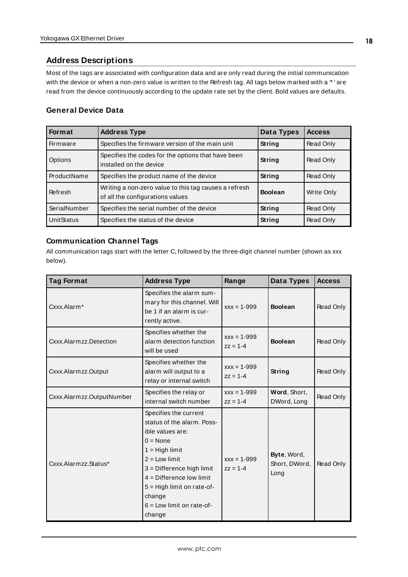## <span id="page-17-0"></span>**Address Descriptions**

Most of the tags are associated with configuration data and are only read during the initial communication with the device or when a non-zero value is written to the Refresh tag. All tags below marked with a "\*' are read from the device continuously according to the update rate set by the client. Bold values are defaults.

## **General Device Data**

| <b>Format</b>     | <b>Address Type</b>                                                                       | Data Types     | <b>Access</b> |
|-------------------|-------------------------------------------------------------------------------------------|----------------|---------------|
| Firmware          | Specifies the firmware version of the main unit                                           | <b>String</b>  | Read Only     |
| Options           | Specifies the codes for the options that have been<br>installed on the device             | String         | Read Only     |
| ProductName       | Specifies the product name of the device                                                  | String         | Read Only     |
| Refresh           | Writing a non-zero value to this tag causes a refresh<br>of all the configurations values | <b>Boolean</b> | Write Only    |
| SerialNumber      | Specifies the serial number of the device                                                 | String         | Read Only     |
| <b>UnitStatus</b> | Specifies the status of the device                                                        | String         | Read Only     |

### **Communication Channel Tags**

All communication tags start with the letter C, followed by the three-digit channel number (shown as xxx below).

| <b>Tag Format</b>         | <b>Address Type</b>                                                                                                                                                                                                                                                               | Range                           | Data Types                           | <b>Access</b> |
|---------------------------|-----------------------------------------------------------------------------------------------------------------------------------------------------------------------------------------------------------------------------------------------------------------------------------|---------------------------------|--------------------------------------|---------------|
| Cxxx.Alarm*               | Specifies the alarm sum-<br>mary for this channel. Will<br>be 1 if an alarm is cur-<br>rently active.                                                                                                                                                                             | $xxx = 1 - 999$                 | <b>Boolean</b>                       | Read Only     |
| Cxxx.Alarmzz.Detection    | Specifies whether the<br>alarm detection function<br>will be used                                                                                                                                                                                                                 | $xxx = 1 - 999$<br>$zz = 1 - 4$ | <b>Boolean</b>                       | Read Only     |
| Cxxx.Alarmzz.Output       | Specifies whether the<br>alarm will output to a<br>relay or internal switch                                                                                                                                                                                                       | $xxx = 1 - 999$<br>$77 = 1-4$   | String                               | Read Only     |
| Cxxx.Alarmzz.OutputNumber | Specifies the relay or<br>internal switch number                                                                                                                                                                                                                                  | $xxx = 1 - 999$<br>$77 = 1 - 4$ | Word, Short,<br>DWord, Long          | Read Only     |
| Cxxx.Alarmzz.Status*      | Specifies the current<br>status of the alarm. Poss-<br>ible values are:<br>$0 = \text{None}$<br>$1 = High limit$<br>$2 = Low limit$<br>$3$ = Difference high limit<br>$4 =$ Difference low limit<br>5 = High limit on rate-of-<br>change<br>$6 =$ Low limit on rate-of-<br>change | $xxx = 1 - 999$<br>$77 = 1-4$   | Byte, Word,<br>Short, DWord,<br>Long | Read Only     |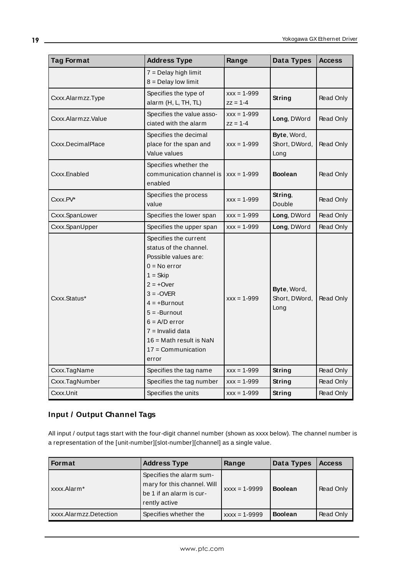| <b>Tag Format</b>  | <b>Address Type</b>       | Range           | Data Types     | <b>Access</b> |
|--------------------|---------------------------|-----------------|----------------|---------------|
|                    | $7 =$ Delay high limit    |                 |                |               |
|                    | $8 =$ Delay low limit     |                 |                |               |
| Cxxx.Alarmzz.Type  | Specifies the type of     | $XXX = 1 - 999$ | <b>String</b>  | Read Only     |
|                    | alarm (H, L, TH, TL)      | $zz = 1 - 4$    |                |               |
| Cxxx.Alarmzz.Value | Specifies the value asso- | $XXX = 1 - 999$ | Long, DWord    | Read Only     |
|                    | ciated with the alarm     | $zz = 1 - 4$    |                |               |
|                    | Specifies the decimal     | Byte, Word,     |                |               |
| Cxxx.DecimalPlace  | place for the span and    | $XXX = 1 - 999$ | Short, DWord,  | Read Only     |
|                    | Value values              |                 | Long           |               |
|                    | Specifies whether the     |                 |                |               |
| Cxxx.Enabled       | communication channel is  | $XXX = 1 - 999$ | <b>Boolean</b> | Read Only     |
|                    | enabled                   |                 |                |               |
| Cxxx.PV*           | Specifies the process     | $XXX = 1 - 999$ | String,        | Read Only     |
|                    | value                     |                 | Double         |               |
| Cxxx.SpanLower     | Specifies the lower span  | $XXX = 1 - 999$ | Long, DWord    | Read Only     |
| Cxxx.SpanUpper     | Specifies the upper span  | $XXX = 1 - 999$ | Long, DWord    | Read Only     |
|                    | Specifies the current     |                 |                |               |
|                    | status of the channel.    |                 |                |               |
|                    | Possible values are:      |                 |                |               |
|                    | $0 = No error$            |                 |                |               |
|                    | $1 = Skip$                |                 |                |               |
|                    | $2 = +0$ ver              |                 | Byte, Word,    |               |
| Cxxx.Status*       | $3 = -OVER$               | $XXX = 1 - 999$ | Short, DWord,  | Read Only     |
|                    | $4 = +Burnout$            |                 | Long           |               |
|                    | $5 = -Burnout$            |                 |                |               |
|                    | $6 = A/D$ error           |                 |                |               |
|                    | $7 =$ Invalid data        |                 |                |               |
|                    | $16 = Math$ result is NaN |                 |                |               |
|                    | $17 =$ Communication      |                 |                |               |
|                    | error                     |                 |                |               |
| Cxxx.TagName       | Specifies the tag name    | $XXX = 1 - 999$ | <b>String</b>  | Read Only     |
| Cxxx.TagNumber     | Specifies the tag number  | $xxx = 1 - 999$ | String         | Read Only     |
| Cxxx.Unit          | Specifies the units       | $XXX = 1 - 999$ | String         | Read Only     |

## **Input / Output Channel Tags**

All input / output tags start with the four-digit channel number (shown as xxxx below). The channel number is a representation of the [unit-number][slot-number][channel] as a single value.

| Format                 | <b>Address Type</b>                                                                                  | Range             | Data Types     | <b>Access</b> |
|------------------------|------------------------------------------------------------------------------------------------------|-------------------|----------------|---------------|
| xxxx.Alarm*            | Specifies the alarm sum-<br>mary for this channel. Will<br>be 1 if an alarm is cur-<br>rently active | $xxxx = 1 - 9999$ | <b>Boolean</b> | Read Only     |
| xxxx.Alarmzz.Detection | Specifies whether the                                                                                | $XXX = 1 - 9999$  | <b>Boolean</b> | Read Only     |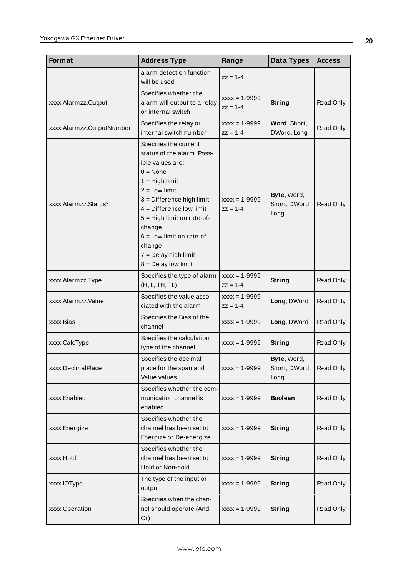| Format                    | <b>Address Type</b>                                                                                                                                                                                                                                                                                                         | Range                             | Data Types                           | <b>Access</b> |
|---------------------------|-----------------------------------------------------------------------------------------------------------------------------------------------------------------------------------------------------------------------------------------------------------------------------------------------------------------------------|-----------------------------------|--------------------------------------|---------------|
|                           | alarm detection function<br>will be used                                                                                                                                                                                                                                                                                    | $zz = 1 - 4$                      |                                      |               |
| xxxx.Alarmzz.Output       | Specifies whether the<br>alarm will output to a relay<br>or internal switch                                                                                                                                                                                                                                                 | $xxxx = 1 - 9999$<br>$zz = 1 - 4$ | <b>String</b>                        | Read Only     |
| xxxx.Alarmzz.OutputNumber | Specifies the relay or<br>internal switch number                                                                                                                                                                                                                                                                            | $xxxx = 1 - 9999$<br>$zz = 1 - 4$ | Word, Short,<br>DWord, Long          | Read Only     |
| xxxx.Alarmzz.Status*      | Specifies the current<br>status of the alarm. Poss-<br>ible values are:<br>$0 = None$<br>$1 = High limit$<br>$2 =$ Low limit<br>3 = Difference high limit<br>$4 =$ Difference low limit<br>5 = High limit on rate-of-<br>change<br>$6 =$ Low limit on rate-of-<br>change<br>$7 =$ Delay high limit<br>$8 =$ Delay low limit | $xxxx = 1 - 9999$<br>$zz = 1 - 4$ | Byte, Word,<br>Short, DWord,<br>Long | Read Only     |
| xxxx.Alarmzz.Type         | Specifies the type of alarm<br>(H, L, TH, TL)                                                                                                                                                                                                                                                                               | $XXX = 1 - 9999$<br>$zz = 1 - 4$  | <b>String</b>                        | Read Only     |
| xxxx.Alarmzz.Value        | Specifies the value asso-<br>ciated with the alarm                                                                                                                                                                                                                                                                          | $xxxx = 1 - 9999$<br>$zz = 1 - 4$ | Long, DWord                          | Read Only     |
| xxxx.Bias                 | Specifies the Bias of the<br>channel                                                                                                                                                                                                                                                                                        | $xxxx = 1 - 9999$                 | Long, DWord                          | Read Only     |
| xxxx.CalcType             | Specifies the calculation<br>type of the channel                                                                                                                                                                                                                                                                            | $xxxx = 1 - 9999$                 | String                               | Read Only     |
| xxxx.DecimalPlace         | Specifies the decimal<br>place for the span and<br>Value values                                                                                                                                                                                                                                                             | $xxxx = 1 - 9999$                 | Byte, Word,<br>Short, DWord,<br>Long | Read Only     |
| xxxx.Enabled              | Specifies whether the com-<br>munication channel is<br>enabled                                                                                                                                                                                                                                                              | $xxxx = 1 - 9999$                 | <b>Boolean</b>                       | Read Only     |
| xxxx.Energize             | Specifies whether the<br>channel has been set to<br>Energize or De-energize                                                                                                                                                                                                                                                 | $xxxx = 1 - 9999$                 | String                               | Read Only     |
| xxxx.Hold                 | Specifies whether the<br>channel has been set to<br>Hold or Non-hold                                                                                                                                                                                                                                                        | $xxxx = 1 - 9999$                 | <b>String</b>                        | Read Only     |
| xxxx.IOType               | The type of the input or<br>output                                                                                                                                                                                                                                                                                          | $xxxx = 1 - 9999$                 | <b>String</b>                        | Read Only     |
| xxxx.Operation            | Specifies when the chan-<br>nel should operate (And,<br>Or)                                                                                                                                                                                                                                                                 | $xxxx = 1 - 9999$                 | String                               | Read Only     |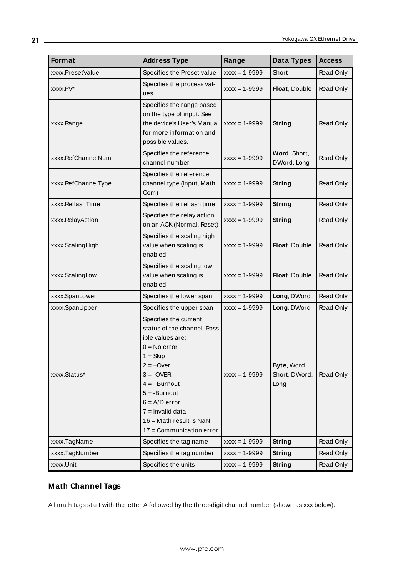| Format              | <b>Address Type</b>                                                                                                                                                                                                                                                       | Range             | Data Types                           | <b>Access</b> |
|---------------------|---------------------------------------------------------------------------------------------------------------------------------------------------------------------------------------------------------------------------------------------------------------------------|-------------------|--------------------------------------|---------------|
| xxxx.PresetValue    | Specifies the Preset value                                                                                                                                                                                                                                                | $xxxx = 1 - 9999$ | Short                                | Read Only     |
| xxxx.PV*            | Specifies the process val-<br>ues.                                                                                                                                                                                                                                        | $XXX = 1 - 9999$  | Float, Double                        | Read Only     |
| xxxx.Range          | Specifies the range based<br>on the type of input. See<br>the device's User's Manual<br>for more information and<br>possible values.                                                                                                                                      | $XXX = 1 - 9999$  | String                               | Read Only     |
| xxxx.RefChannelNum  | Specifies the reference<br>channel number                                                                                                                                                                                                                                 | $XXX = 1 - 9999$  | Word, Short,<br>DWord, Long          | Read Only     |
| xxxx.RefChannelType | Specifies the reference<br>channel type (Input, Math,<br>Com)                                                                                                                                                                                                             | $XXX = 1 - 9999$  | String                               | Read Only     |
| xxxx.ReflashTime    | Specifies the reflash time                                                                                                                                                                                                                                                | $XXX = 1 - 9999$  | String                               | Read Only     |
| xxxx.RelayAction    | Specifies the relay action<br>on an ACK (Normal, Reset)                                                                                                                                                                                                                   | $XXX = 1 - 9999$  | String                               | Read Only     |
| xxxx.ScalingHigh    | Specifies the scaling high<br>value when scaling is<br>enabled                                                                                                                                                                                                            | $XXX = 1 - 9999$  | Float, Double                        | Read Only     |
| xxxx.ScalingLow     | Specifies the scaling low<br>value when scaling is<br>enabled                                                                                                                                                                                                             | $XXX = 1 - 9999$  | Float, Double                        | Read Only     |
| xxxx.SpanLower      | Specifies the lower span                                                                                                                                                                                                                                                  | $XXX = 1 - 9999$  | Long, DWord                          | Read Only     |
| xxxx.SpanUpper      | Specifies the upper span                                                                                                                                                                                                                                                  | $XXX = 1 - 9999$  | Long, DWord                          | Read Only     |
| xxxx.Status*        | Specifies the current<br>status of the channel. Poss-<br>ible values are:<br>$0 = No error$<br>$1 = Skip$<br>2 = +Over<br>$3 = -OVER$<br>$4 = +Burnout$<br>$5 = -Burnout$<br>$6 = A/D$ error<br>$7 =$ Invalid data<br>16 = Math result is NaN<br>17 = Communication error | $XXX = 1 - 9999$  | Byte, Word,<br>Short, DWord,<br>Long | Read Only     |
| xxxx.TagName        | Specifies the tag name                                                                                                                                                                                                                                                    | $XXX = 1 - 9999$  | String                               | Read Only     |
| xxxx.TagNumber      | Specifies the tag number                                                                                                                                                                                                                                                  | $xxxx = 1 - 9999$ | String                               | Read Only     |
| xxxx.Unit           | Specifies the units                                                                                                                                                                                                                                                       | $xxxx = 1 - 9999$ | <b>String</b>                        | Read Only     |

## **Math Channel Tags**

All math tags start with the letter A followed by the three-digit channel number (shown as xxx below).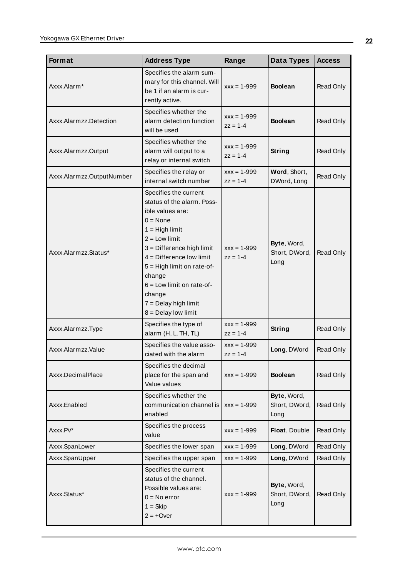| Format                    | <b>Address Type</b>                                                                                                                                                                                                                                                                                                         | Range                           | Data Types                           | <b>Access</b> |
|---------------------------|-----------------------------------------------------------------------------------------------------------------------------------------------------------------------------------------------------------------------------------------------------------------------------------------------------------------------------|---------------------------------|--------------------------------------|---------------|
| Axxx.Alarm*               | Specifies the alarm sum-<br>mary for this channel. Will<br>be 1 if an alarm is cur-<br>rently active.                                                                                                                                                                                                                       | $XXX = 1 - 999$                 | <b>Boolean</b>                       | Read Only     |
| Axxx.Alarmzz.Detection    | Specifies whether the<br>alarm detection function<br>will be used                                                                                                                                                                                                                                                           | $XXX = 1 - 999$<br>$zz = 1 - 4$ | <b>Boolean</b>                       | Read Only     |
| Axxx.Alarmzz.Output       | Specifies whether the<br>alarm will output to a<br>relay or internal switch                                                                                                                                                                                                                                                 | $xxx = 1 - 999$<br>$zz = 1 - 4$ | String                               | Read Only     |
| Axxx.Alarmzz.OutputNumber | Specifies the relay or<br>internal switch number                                                                                                                                                                                                                                                                            | $XXX = 1 - 999$<br>$zz = 1 - 4$ | Word, Short,<br>DWord, Long          | Read Only     |
| Axxx.Alarmzz.Status*      | Specifies the current<br>status of the alarm. Poss-<br>ible values are:<br>$0 = None$<br>$1 = High limit$<br>$2 =$ Low limit<br>3 = Difference high limit<br>$4 =$ Difference low limit<br>5 = High limit on rate-of-<br>change<br>$6 =$ Low limit on rate-of-<br>change<br>$7 =$ Delay high limit<br>$8 =$ Delay low limit | $xxx = 1 - 999$<br>$zz = 1 - 4$ | Byte, Word,<br>Short, DWord,<br>Long | Read Only     |
| Axxx.Alarmzz.Type         | Specifies the type of<br>alarm (H, L, TH, TL)                                                                                                                                                                                                                                                                               | $XXX = 1 - 999$<br>$zz = 1 - 4$ | <b>String</b>                        | Read Only     |
| Axxx.Alarmzz.Value        | Specifies the value asso-<br>ciated with the alarm                                                                                                                                                                                                                                                                          | $XXX = 1 - 999$<br>$zz = 1 - 4$ | Long, DWord                          | Read Only     |
| Axxx.DecimalPlace         | Specifies the decimal<br>place for the span and<br>Value values                                                                                                                                                                                                                                                             | $xxx = 1 - 999$                 | <b>Boolean</b>                       | Read Only     |
| Axxx.Enabled              | Specifies whether the<br>communication channel is<br>enabled                                                                                                                                                                                                                                                                | $xxx = 1 - 999$                 | Byte, Word,<br>Short, DWord,<br>Long | Read Only     |
| Axxx.PV*                  | Specifies the process<br>value                                                                                                                                                                                                                                                                                              | $xxx = 1 - 999$                 | Float, Double                        | Read Only     |
| Axxx.SpanLower            | Specifies the lower span                                                                                                                                                                                                                                                                                                    | $XXX = 1 - 999$                 | Long, DWord                          | Read Only     |
| Axxx.SpanUpper            | Specifies the upper span                                                                                                                                                                                                                                                                                                    | $XXX = 1 - 999$                 | Long, DWord                          | Read Only     |
| Axxx.Status*              | Specifies the current<br>status of the channel.<br>Possible values are:<br>$0 = No error$<br>$1 = Skip$<br>$2 = +0$ ver                                                                                                                                                                                                     | $XXX = 1 - 999$                 | Byte, Word,<br>Short, DWord,<br>Long | Read Only     |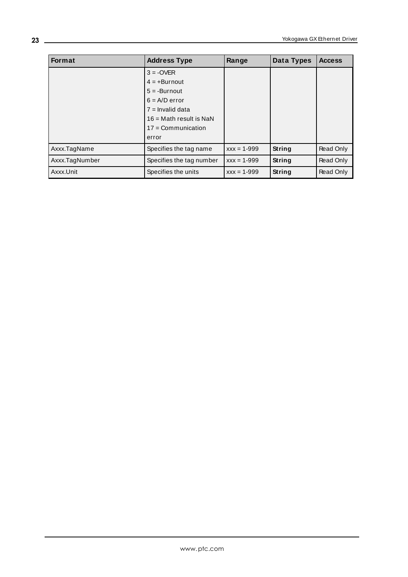| Format         | <b>Address Type</b>              | Range           | Data Types    | <b>Access</b> |
|----------------|----------------------------------|-----------------|---------------|---------------|
|                | $3 = -OVER$                      |                 |               |               |
|                | $4 = +$ Burnout                  |                 |               |               |
|                | $5 = -Burnout$                   |                 |               |               |
|                | $6 = A/D$ error                  |                 |               |               |
|                | $7 =$ Invalid data               |                 |               |               |
|                | $16 = \text{Math}$ result is NaN |                 |               |               |
|                | $17 =$ Communication             |                 |               |               |
|                | error                            |                 |               |               |
| Axxx.TagName   | Specifies the tag name           | $XXX = 1 - 999$ | <b>String</b> | Read Only     |
| Axxx.TagNumber | Specifies the tag number         | $XXX = 1 - 999$ | String        | Read Only     |
| Axxx.Unit      | Specifies the units              | $XXX = 1 - 999$ | String        | Read Only     |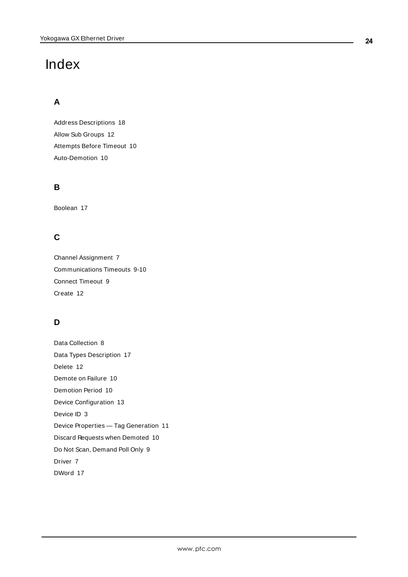# <span id="page-23-0"></span>Index

## **A**

Address Descriptions [18](#page-17-0) Allow Sub Groups [12](#page-11-0) Attempts Before Timeout [10](#page-9-1) Auto-Demotion [10](#page-9-0)

## **B**

Boolean [17](#page-16-1)

## **C**

Channel Assignment [7](#page-6-1) Communications Timeouts [9-10](#page-8-1) Connect Timeout [9](#page-8-2) Create [12](#page-11-1)

## **D**

Data Collection [8](#page-7-2) Data Types Description [17](#page-16-0) Delete [12](#page-11-2) Demote on Failure [10](#page-9-2) Demotion Period [10](#page-9-3) Device Configuration [13](#page-12-0) Device ID [3](#page-2-3) Device Properties — Tag Generation [11](#page-10-0) Discard Requests when Demoted [10](#page-9-4) Do Not Scan, Demand Poll Only [9](#page-8-3) Driver [7](#page-6-2) DWord [17](#page-16-2)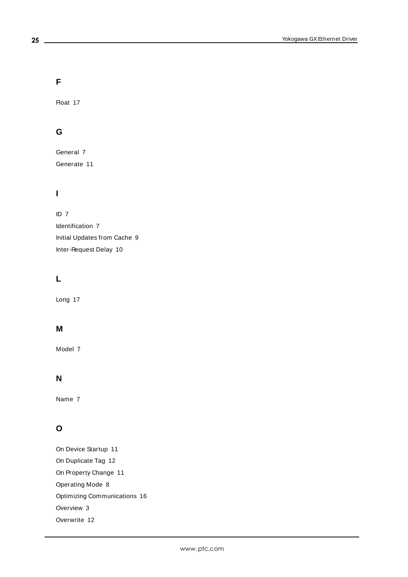**F**

Float [17](#page-16-3)

## **G**

General [7](#page-6-0) Generate [11](#page-10-1)

## **I**

ID [7](#page-6-3) Identification [7](#page-6-0) Initial Updates from Cache [9](#page-8-4) Inter-Request Delay [10](#page-9-5)

## **L**

Long [17](#page-16-4)

## **M**

Model [7](#page-6-4)

## **N**

Name [7](#page-6-5)

## **O**

On Device Startup [11](#page-10-2) On Duplicate Tag [12](#page-11-3) On Property Change [11](#page-10-3) Operating Mode [8](#page-7-0) Optimizing Communications [16](#page-15-0) Overview [3](#page-2-1) Overwrite [12](#page-11-4)